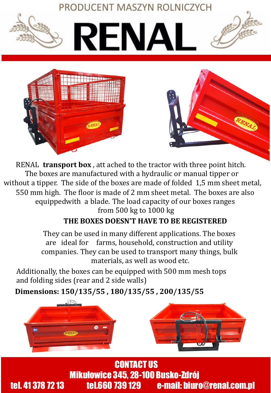

RENAL **transport box** , att ached to the tractor with three point hitch. The boxes are manufactured with a hydraulic or manual tipper or without a tipper. The side of the boxes are made of folded 1,5 mm sheet metal, 550 mm high. The floor is made of 2 mm sheet metal. The boxes are also equippedwith a blade. The load capacity of our boxes ranges from 500 kg to 1000 kg

## **THE BOXES DOESN'T HAVE TO BE REGISTERED**

They can be used in many different applications. The boxes are ideal for farms, household, construction and utility companies. They can be used to transport many things, bulk materials, as well as wood etc.

Additionally, the boxes can be equipped with 500 mm mesh tops and folding sides (rear and 2 side walls)

**Dimensions: 150/135/55 , 180/135/55 , 200/135/55**



**Mikułowice 345, 28-100 Busko-Zdrój<br>tel.660 739 129 c-mail: biuro** tel. 41 378 72 13 tel.660 739 129 e-mail: biuro@renal.com.pl CONTACT US